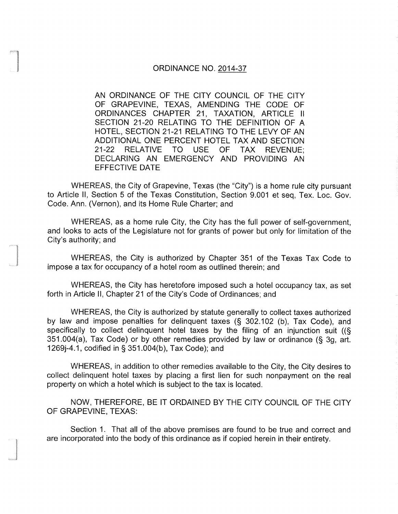## ORDINANCE NO. 2014-37

AN ORDINANCE OF THE CITY COUNCIL OF THE CITY OF GRAPEVINE, TEXAS, AMENDING THE CODE OF ORDINANCES CHAPTER 21, TAXATION, ARTICLE II SECTION 21-20 RELATING TO THE DEFINITION OF A HOTEL, SECTION 21-21 RELATING TO THE LEVY OF AN ADDITIONAL ONE PERCENT HOTEL TAX AND SECTION 21-22 RELATIVE TO USE OF TAX REVENUE; DECLARING AN EMERGENCY AND PROVIDING AN EFFECTIVE DATE

WHEREAS, the City of Grapevine, Texas (the "City") is <sup>a</sup> home rule city pursuant to Article II, Section 5 of the Texas Constitution, Section 9. 001 et seq, Tex. Loc. Gov. Code. Ann. (Vernon), and its Home Rule Charter; and

WHEREAS, as a home rule City, the City has the full power of self-government, and looks to acts of the Legislature not for grants of power but only for limitation of the City's authority; and

WHEREAS, the City is authorized by Chapter 351 of the Texas Tax Code to impose a tax for occupancy of a hotel room as outlined therein; and

WHEREAS, the City has heretofore imposed such a hotel occupancy tax, as set forth in Article II, Chapter 21 of the City's Code of Ordinances; and

WHEREAS, the City is authorized by statute generally to collect taxes authorized by law and impose penalties for delinquent taxes (§ 302.102 (b), Tax Code), and specifically to collect delinquent hotel taxes by the filing of an injunction suit ((§  $351.004(a)$ , Tax Code) or by other remedies provided by law or ordinance (§ 3g, art. 1269]-4. 1, codified in § 351. 004(b), Tax Code); and

WHEREAS, in addition to other remedies available to the City, the City desires to collect delinquent hotel taxes by placing a first lien for such nonpayment on the real property on which a hotel which is subject to the tax is located.

NOW, THEREFORE, BE IT ORDAINED BY THE CITY COUNCIL OF THE CITY OF GRAPEVINE, TEXAS:

Section 1. That all of the above premises are found to be true and correct and are incorporated into the body of this ordinance as if copied herein in their entirety.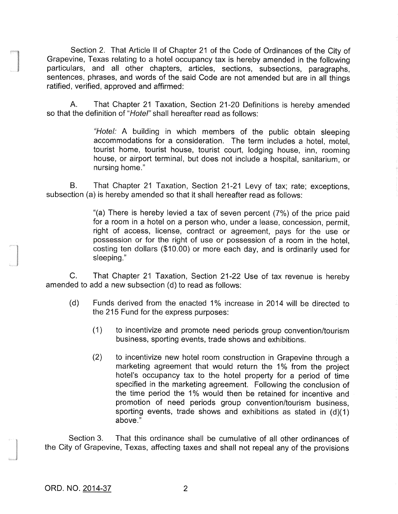Section 2. That Article II of Chapter <sup>21</sup> of the Code of Ordinances of the City of Grapevine, Texas relating to a hotel occupancy tax is hereby amended in the following particulars, and all other chapters, articles, sections, subsections, paragraphs, sentences, phrases, and words of the said Code are not amended but are in all things ratified, verified, approved and affirmed:

A. That Chapter 21 Taxation, Section 21-20 Definitions is hereby amended so that the definition of "Hotel" shall hereafter read as follows:

> Hotel. A building in which members of the public obtain sleeping accommodations for a consideration. The term includes a hotel, motel, tourist home, tourist house, tourist court, lodging house, inn, rooming house, or airport terminal, but does not include a hospital, sanitarium, or nursing home."

B. That Chapter 21 Taxation, Section 21-21 Levy of tax; rate; exceptions, subsection (a) is hereby amended so that it shall hereafter read as follows:

> "(a) There is hereby levied a tax of seven percent  $(7%)$  of the price paid for a room in a hotel on a person who, under a lease, concession, permit, right of access, license, contract or agreement, pays for the use or possession or for the right of use or possession of a room in the hotel, costing ten dollars (\$ 10. 00) or more each day, and is ordinarily used for sleeping."

C. That Chapter 21 Taxation, Section 21-22 Use of tax revenue is hereby amended to add a new subsection (d) to read as follows:

- d) Funds derived from the enacted 1% increase in 2014 will be directed to the 215 Fund for the express purposes:
	- (1) to incentivize and promote need periods group convention/tourism business, sporting events, trade shows and exhibitions.
	- 2) to incentivize new hotel room construction in Grapevine through a marketing agreement that would return the 1% from the project hotel's occupancy tax to the hotel property for a period of time specified in the marketing agreement. Following the conclusion of the time period the 1% would then be retained for incentive and promotion of need periods group convention/tourism business, sporting events, trade shows and exhibitions as stated in  $(d)(1)$ above."

Section 3. That this ordinance shall be cumulative of all other ordinances of the City of Grapevine, Texas, affecting taxes and shall not repeal any of the provisions